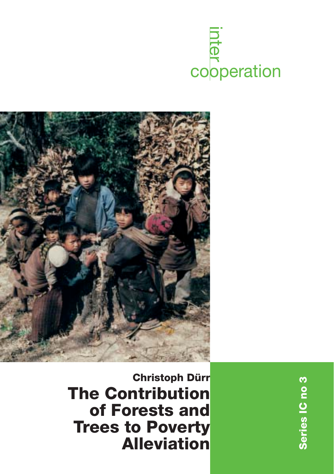



**Christoph Dürr The Contribution of Forests and Trees to Poverty Alleviation**

Series IC no 3 **Series IC no 3**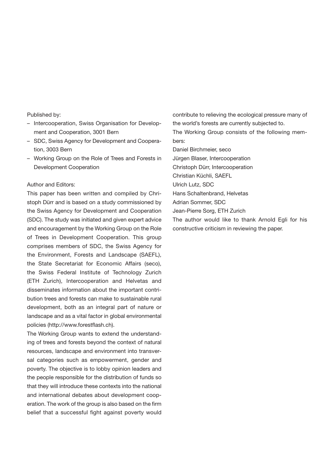Published by:

- Intercooperation, Swiss Organisation for Development and Cooperation, 3001 Bern
- SDC, Swiss Agency for Development and Cooperation, 3003 Bern
- Working Group on the Role of Trees and Forests in Development Cooperation

### Author and Editors:

This paper has been written and compiled by Christoph Dürr and is based on a study commissioned by the Swiss Agency for Development and Cooperation (SDC). The study was initiated and given expert advice and encouragement by the Working Group on the Role of Trees in Development Cooperation. This group comprises members of SDC, the Swiss Agency for the Environment, Forests and Landscape (SAEFL), the State Secretariat for Economic Affairs (seco), the Swiss Federal Institute of Technology Zurich (ETH Zurich), Intercooperation and Helvetas and disseminates information about the important contribution trees and forests can make to sustainable rural development, both as an integral part of nature or landscape and as a vital factor in global environmental policies (http://www.forestflash.ch).

The Working Group wants to extend the understanding of trees and forests beyond the context of natural resources, landscape and environment into transversal categories such as empowerment, gender and poverty. The objective is to lobby opinion leaders and the people responsible for the distribution of funds so that they will introduce these contexts into the national and international debates about development cooperation. The work of the group is also based on the firm belief that a successful fight against poverty would contribute to relieving the ecological pressure many of the world's forests are currently subjected to. The Working Group consists of the following members: Daniel Birchmeier, seco Jürgen Blaser, Intercooperation Christoph Dürr, Intercooperation Christian Küchli, SAEFL Ulrich Lutz, SDC Hans Schaltenbrand, Helvetas Adrian Sommer, SDC Jean-Pierre Sorg, ETH Zurich The author would like to thank Arnold Egli for his constructive criticism in reviewing the paper.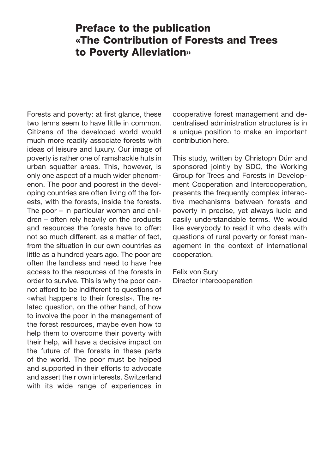# **Preface to the publication «The Contribution of Forests and Trees to Poverty Alleviation»**

Forests and poverty: at first glance, these two terms seem to have little in common. Citizens of the developed world would much more readily associate forests with ideas of leisure and luxury. Our image of poverty is rather one of ramshackle huts in urban squatter areas. This, however, is only one aspect of a much wider phenomenon. The poor and poorest in the developing countries are often living off the forests, with the forests, inside the forests. The poor – in particular women and children – often rely heavily on the products and resources the forests have to offer: not so much different, as a matter of fact, from the situation in our own countries as little as a hundred years ago. The poor are often the landless and need to have free access to the resources of the forests in order to survive. This is why the poor cannot afford to be indifferent to questions of «what happens to their forests». The related question, on the other hand, of how to involve the poor in the management of the forest resources, maybe even how to help them to overcome their poverty with their help, will have a decisive impact on the future of the forests in these parts of the world. The poor must be helped and supported in their efforts to advocate and assert their own interests. Switzerland with its wide range of experiences in cooperative forest management and decentralised administration structures is in a unique position to make an important contribution here.

This study, written by Christoph Dürr and sponsored jointly by SDC, the Working Group for Trees and Forests in Development Cooperation and Intercooperation, presents the frequently complex interactive mechanisms between forests and poverty in precise, yet always lucid and easily understandable terms. We would like everybody to read it who deals with questions of rural poverty or forest management in the context of international cooperation.

Felix von Sury Director Intercooperation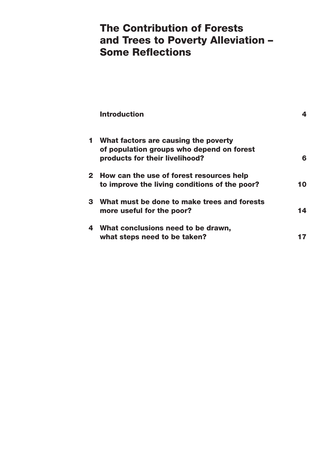# **The Contribution of Forests and Trees to Poverty Alleviation – Some Reflections**

|   | <b>Introduction</b>                                                                                                   | 4  |
|---|-----------------------------------------------------------------------------------------------------------------------|----|
|   | 1 What factors are causing the poverty<br>of population groups who depend on forest<br>products for their livelihood? | 6  |
|   | 2 How can the use of forest resources help<br>to improve the living conditions of the poor?                           | 10 |
|   | 3 What must be done to make trees and forests<br>more useful for the poor?                                            | 14 |
| 4 | What conclusions need to be drawn,<br>what steps need to be taken?                                                    | 17 |
|   |                                                                                                                       |    |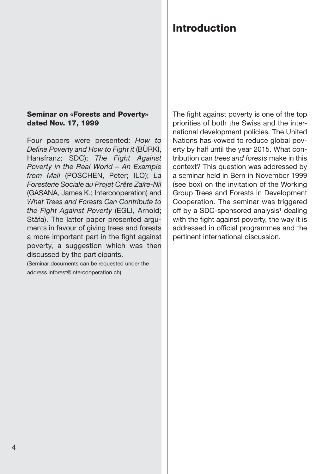### **Seminar on «Forests and Poverty» dated Nov. 17, 1999**

Four papers were presented: *How to Define Poverty and How to Fight it* (BÜRKI, Hansfranz; SDC); *The Fight Against Poverty in the Real World – An Example from Mali* (POSCHEN, Peter; ILO); *La Foresterie Sociale au Projet Crête Zaïre-Nil* (GASANA, James K.; Intercooperation) and *What Trees and Forests Can Contribute to the Fight Against Poverty* (EGLI, Arnold; Stäfa). The latter paper presented arguments in favour of giving trees and forests a more important part in the fight against poverty, a suggestion which was then discussed by the participants.

(Seminar documents can be requested under the address inforest@intercooperation.ch)

### The fight against poverty is one of the top priorities of both the Swiss and the international development policies. The United Nations has vowed to reduce global poverty by half until the year 2015. What contribution can *trees and forests* make in this context? This question was addressed by a seminar held in Bern in November 1999 (see box) on the invitation of the Working Group Trees and Forests in Development Cooperation. The seminar was triggered off by a SDC-sponsored analysis<sup>1</sup> dealing with the fight against poverty, the way it is addressed in official programmes and the pertinent international discussion.

# **Introduction**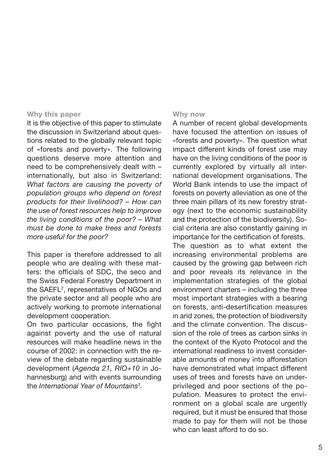### **Why this paper**

It is the objective of this paper to stimulate the discussion in Switzerland about questions related to the globally relevant topic of «forests and poverty». The following questions deserve more attention and need to be comprehensively dealt with – internationally, but also in Switzerland: *What factors are causing the poverty of population groups who depend on forest products for their livelihood? – How can the use of forest resources help to improve the living conditions of the poor? – What must be done to make trees and forests more useful for the poor?*

This paper is therefore addressed to all people who are dealing with these matters: the officials of SDC, the seco and the Swiss Federal Forestry Department in the SAEFL<sup>2</sup>, representatives of NGOs and the private sector and all people who are actively working to promote international development cooperation.

On two particular occasions, the fight against poverty and the use of natural resources will make headline news in the course of 2002: in connection with the review of the debate regarding sustainable development (*Agenda 21, RIO+10* in Johannesburg) and with events surrounding the *International Year of Mountains3* .

### **Why now**

A number of recent global developments have focused the attention on issues of «forests and poverty». The question what impact different kinds of forest use may have on the living conditions of the poor is currently explored by virtually all international development organisations. The World Bank intends to use the impact of forests on poverty alleviation as one of the three main pillars of its new forestry strategy (next to the economic sustainability and the protection of the biodiversity). Social criteria are also constantly gaining in importance for the certification of forests.

The question as to what extent the increasing environmental problems are caused by the growing gap between rich and poor reveals its relevance in the implementation strategies of the global environment charters – including the three most important strategies with a bearing on forests, anti-desertification measures in arid zones, the protection of biodiversity and the climate convention. The discussion of the role of trees as carbon sinks in the context of the Kyoto Protocol and the international readiness to invest considerable amounts of money into afforestation have demonstrated what impact different uses of trees and forests have on underprivileged and poor sections of the population. Measures to protect the environment on a global scale are urgently required, but it must be ensured that those made to pay for them will not be those who can least afford to do so.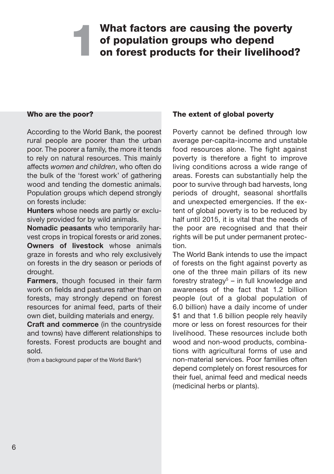## **What factors are causing the poverty of population groups who depend on forest products for their livelihood? 1**

### **Who are the poor?**

According to the World Bank, the poorest rural people are poorer than the urban poor. The poorer a family, the more it tends to rely on natural resources. This mainly affects *women and children*, who often do the bulk of the 'forest work' of gathering wood and tending the domestic animals. Population groups which depend strongly on forests include:

**Hunters** whose needs are partly or exclusively provided for by wild animals.

**Nomadic peasants** who temporarily harvest crops in tropical forests or arid zones. **Owners of livestock** whose animals graze in forests and who rely exclusively on forests in the dry season or periods of drought.

**Farmers**, though focused in their farm work on fields and pastures rather than on forests, may strongly depend on forest resources for animal feed, parts of their own diet, building materials and energy.

**Craft and commerce** (in the countryside and towns) have different relationships to forests. Forest products are bought and sold.

(from a background paper of the World Bank<sup>4</sup>)

### **The extent of global poverty**

Poverty cannot be defined through low average per-capita-income and unstable food resources alone. The fight against poverty is therefore a fight to improve living conditions across a wide range of areas. Forests can substantially help the poor to survive through bad harvests, long periods of drought, seasonal shortfalls and unexpected emergencies. If the extent of global poverty is to be reduced by half until 2015, it is vital that the needs of the poor are recognised and that their rights will be put under permanent protection.

The World Bank intends to use the impact of forests on the fight against poverty as one of the three main pillars of its new forestry strategy<sup>5</sup> – in full knowledge and awareness of the fact that 1.2 billion people (out of a global population of 6.0 billion) have a daily income of under \$1 and that 1.6 billion people rely heavily more or less on forest resources for their livelihood. These resources include both wood and non-wood products, combinations with agricultural forms of use and non-material services. Poor families often depend completely on forest resources for their fuel, animal feed and medical needs (medicinal herbs or plants).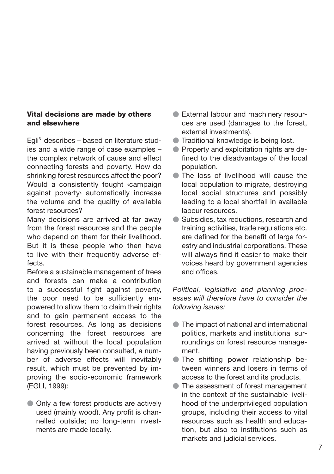### **Vital decisions are made by others and elsewhere**

Egli6 describes – based on literature studies and a wide range of case examples – the complex network of cause and effect connecting forests and poverty. How do shrinking forest resources affect the poor? Would a consistently fought ‹campaign against poverty› automatically increase the volume and the quality of available forest resources?

Many decisions are arrived at far away from the forest resources and the people who depend on them for their livelihood. But it is these people who then have to live with their frequently adverse effects.

Before a sustainable management of trees and forests can make a contribution to a successful fight against poverty, the poor need to be sufficiently empowered to allow them to claim their rights and to gain permanent access to the forest resources. As long as decisions concerning the forest resources are arrived at without the local population having previously been consulted, a number of adverse effects will inevitably result, which must be prevented by improving the socio-economic framework (EGLI, 1999):

 $\bullet$  Only a few forest products are actively used (mainly wood). Any profit is channelled outside; no long-term investments are made locally.

- External labour and machinery resources are used (damages to the forest, external investments).
- **Traditional knowledge is being lost.**
- **Property and exploitation rights are de**fined to the disadvantage of the local population.
- The loss of livelihood will cause the local population to migrate, destroying local social structures and possibly leading to a local shortfall in available labour resources.
- Subsidies, tax reductions, research and training activities, trade regulations etc. are defined for the benefit of large forestry and industrial corporations. These will always find it easier to make their voices heard by government agencies and offices.

*Political, legislative and planning processes will therefore have to consider the following issues:*

- The impact of national and international politics, markets and institutional surroundings on forest resource management.
- The shifting power relationship between winners and losers in terms of access to the forest and its products.
- The assessment of forest management in the context of the sustainable livelihood of the underprivileged population groups, including their access to vital resources such as health and education, but also to institutions such as markets and judicial services.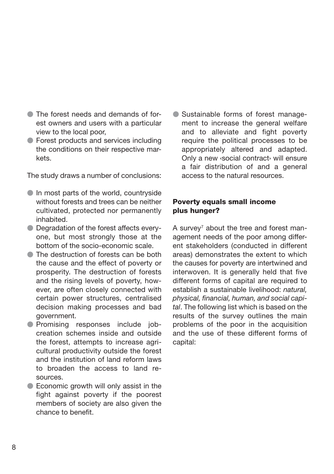- The forest needs and demands of forest owners and users with a particular view to the local poor,
- **Forest products and services including** the conditions on their respective markets.

The study draws a number of conclusions:

- In most parts of the world, countryside without forests and trees can be neither cultivated, protected nor permanently inhabited.
- Degradation of the forest affects everyone, but most strongly those at the bottom of the socio-economic scale.
- The destruction of forests can be both the cause and the effect of poverty or prosperity. The destruction of forests and the rising levels of poverty, however, are often closely connected with certain power structures, centralised decision making processes and bad government.
- Promising responses include jobcreation schemes inside and outside the forest, attempts to increase agricultural productivity outside the forest and the institution of land reform laws to broaden the access to land resources.
- Economic growth will only assist in the fight against poverty if the poorest members of society are also given the chance to benefit.

 Sustainable forms of forest management to increase the general welfare and to alleviate and fight poverty require the political processes to be appropriately altered and adapted. Only a new ‹social contract› will ensure a fair distribution of and a general access to the natural resources.

### **Poverty equals small income plus hunger?**

A survey<sup>7</sup> about the tree and forest management needs of the poor among different stakeholders (conducted in different areas) demonstrates the extent to which the causes for poverty are intertwined and interwoven. It is generally held that five different forms of capital are required to establish a sustainable livelihood: *natural, physical, financial, human, and social capital*. The following list which is based on the results of the survey outlines the main problems of the poor in the acquisition and the use of these different forms of capital: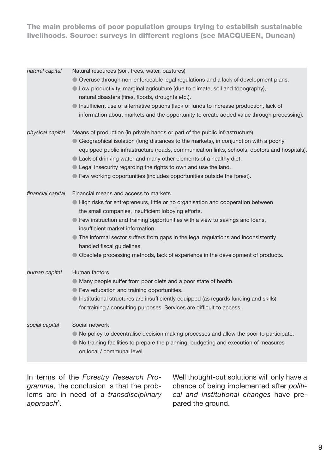**The main problems of poor population groups trying to establish sustainable livelihoods. Source: surveys in different regions (see MACQUEEN, Duncan)**

| natural capital   | Natural resources (soil, trees, water, pastures)<br>• Overuse through non-enforceable legal regulations and a lack of development plans.<br>• Low productivity, marginal agriculture (due to climate, soil and topography),<br>natural disasters (fires, floods, droughts etc.).<br>• Insufficient use of alternative options (lack of funds to increase production, lack of<br>information about markets and the opportunity to create added value through processing).                                          |
|-------------------|-------------------------------------------------------------------------------------------------------------------------------------------------------------------------------------------------------------------------------------------------------------------------------------------------------------------------------------------------------------------------------------------------------------------------------------------------------------------------------------------------------------------|
| physical capital  | Means of production (in private hands or part of the public infrastructure)<br>• Geographical isolation (long distances to the markets), in conjunction with a poorly<br>equipped public infrastructure (roads, communication links, schools, doctors and hospitals).<br>Lack of drinking water and many other elements of a healthy diet.<br>• Legal insecurity regarding the rights to own and use the land.<br>● Few working opportunities (includes opportunities outside the forest).                        |
| financial capital | Financial means and access to markets<br>• High risks for entrepreneurs, little or no organisation and cooperation between<br>the small companies, insufficient lobbying efforts.<br>● Few instruction and training opportunities with a view to savings and loans,<br>insufficient market information.<br>• The informal sector suffers from gaps in the legal regulations and inconsistently<br>handled fiscal guidelines.<br>• Obsolete processing methods, lack of experience in the development of products. |
| human capital     | Human factors<br>• Many people suffer from poor diets and a poor state of health.<br>• Few education and training opportunities.<br>Institutional structures are insufficiently equipped (as regards funding and skills)<br>for training / consulting purposes. Services are difficult to access.                                                                                                                                                                                                                 |
| social capital    | Social network<br>• No policy to decentralise decision making processes and allow the poor to participate.<br>• No training facilities to prepare the planning, budgeting and execution of measures<br>on local / communal level.                                                                                                                                                                                                                                                                                 |

In terms of the *Forestry Research Programme*, the conclusion is that the problems are in need of a *transdisciplinary approach8* .

Well thought-out solutions will only have a chance of being implemented after *political and institutional changes* have prepared the ground.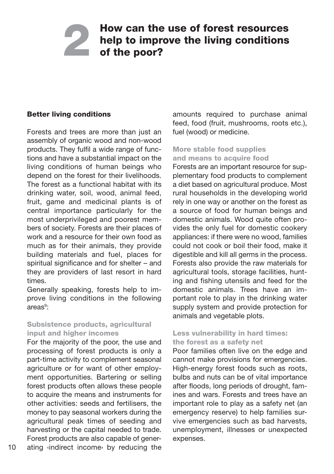# **How can the use of forest resources help to improve the living conditions of the poor? 2**

### **Better living conditions**

Forests and trees are more than just an assembly of organic wood and non-wood products. They fulfil a wide range of functions and have a substantial impact on the living conditions of human beings who depend on the forest for their livelihoods. The forest as a functional habitat with its drinking water, soil, wood, animal feed, fruit, game and medicinal plants is of central importance particularly for the most underprivileged and poorest members of society. Forests are their places of work and a resource for their own food as much as for their animals, they provide building materials and fuel, places for spiritual significance and for shelter – and they are providers of last resort in hard times.

Generally speaking, forests help to improve living conditions in the following areas<sup>9</sup>:

### **Subsistence products, agricultural input and higher incomes**

For the majority of the poor, the use and processing of forest products is only a part-time activity to complement seasonal agriculture or for want of other employment opportunities. Bartering or selling forest products often allows these people to acquire the means and instruments for other activities: seeds and fertilisers, the money to pay seasonal workers during the agricultural peak times of seeding and harvesting or the capital needed to trade. Forest products are also capable of generating ‹indirect income› by reducing the

amounts required to purchase animal feed, food (fruit, mushrooms, roots etc.), fuel (wood) or medicine.

### **More stable food supplies and means to acquire food**

Forests are an important resource for supplementary food products to complement a diet based on agricultural produce. Most rural households in the developing world rely in one way or another on the forest as a source of food for human beings and domestic animals. Wood quite often provides the only fuel for domestic cookery appliances: if there were no wood, families could not cook or boil their food, make it digestible and kill all germs in the process. Forests also provide the raw materials for agricultural tools, storage facilities, hunting and fishing utensils and feed for the domestic animals. Trees have an important role to play in the drinking water supply system and provide protection for animals and vegetable plots.

### **Less vulnerability in hard times: the forest as a safety net**

Poor families often live on the edge and cannot make provisions for emergencies. High-energy forest foods such as roots, bulbs and nuts can be of vital importance after floods, long periods of drought, famines and wars. Forests and trees have an important role to play as a safety net (an emergency reserve) to help families survive emergencies such as bad harvests, unemployment, illnesses or unexpected expenses.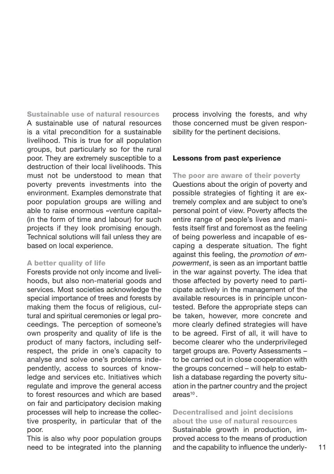**Sustainable use of natural resources** A sustainable use of natural resources is a vital precondition for a sustainable livelihood. This is true for all population groups, but particularly so for the rural poor. They are extremely susceptible to a destruction of their local livelihoods. This must not be understood to mean that poverty prevents investments into the environment. Examples demonstrate that poor population groups are willing and able to raise enormous «venture capital» (in the form of time and labour) for such projects if they look promising enough. Technical solutions will fail unless they are based on local experience.

### **A better quality of life**

Forests provide not only income and livelihoods, but also non-material goods and services. Most societies acknowledge the special importance of trees and forests by making them the focus of religious, cultural and spiritual ceremonies or legal proceedings. The perception of someone's own prosperity and quality of life is the product of many factors, including selfrespect, the pride in one's capacity to analyse and solve one's problems independently, access to sources of knowledge and services etc. Initiatives which regulate and improve the general access to forest resources and which are based on fair and participatory decision making processes will help to increase the collective prosperity, in particular that of the poor.

This is also why poor population groups need to be integrated into the planning process involving the forests, and why those concerned must be given responsibility for the pertinent decisions.

### **Lessons from past experience**

**The poor are aware of their poverty** Questions about the origin of poverty and possible strategies of fighting it are extremely complex and are subject to one's personal point of view. Poverty affects the entire range of people's lives and manifests itself first and foremost as the feeling of being powerless and incapable of escaping a desperate situation. The fight against this feeling, the *promotion of empowerment*, is seen as an important battle in the war against poverty. The idea that those affected by poverty need to participate actively in the management of the available resources is in principle uncontested. Before the appropriate steps can be taken, however, more concrete and more clearly defined strategies will have to be agreed. First of all, it will have to become clearer who the underprivileged target groups are. Poverty Assessments to be carried out in close cooperation with the groups concerned – will help to establish a database regarding the poverty situation in the partner country and the project  $area<sup>10</sup>$ 

### **Decentralised and joint decisions about the use of natural resources**

Sustainable growth in production, improved access to the means of production and the capability to influence the underly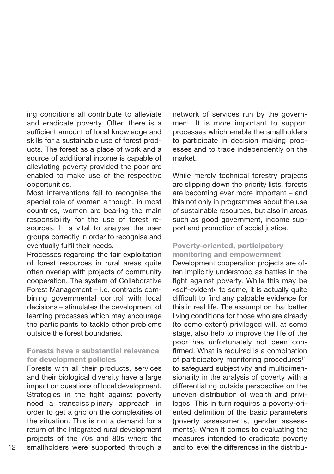ing conditions all contribute to alleviate and eradicate poverty. Often there is a sufficient amount of local knowledge and skills for a sustainable use of forest products. The forest as a place of work and a source of additional income is capable of alleviating poverty provided the poor are enabled to make use of the respective opportunities.

Most interventions fail to recognise the special role of women although, in most countries, women are bearing the main responsibility for the use of forest resources. It is vital to analyse the user groups correctly in order to recognise and eventually fulfil their needs.

Processes regarding the fair exploitation of forest resources in rural areas quite often overlap with projects of community cooperation. The system of Collaborative Forest Management – i.e. contracts combining governmental control with local decisions – stimulates the development of learning processes which may encourage the participants to tackle other problems outside the forest boundaries.

### **Forests have a substantial relevance for development policies**

Forests with all their products, services and their biological diversity have a large impact on questions of local development. Strategies in the fight against poverty need a transdisciplinary approach in order to get a grip on the complexities of the situation. This is not a demand for a return of the integrated rural development projects of the 70s and 80s where the

network of services run by the government. It is more important to support processes which enable the smallholders to participate in decision making processes and to trade independently on the market.

While merely technical forestry projects are slipping down the priority lists, forests are becoming ever more important – and this not only in programmes about the use of sustainable resources, but also in areas such as good government, income support and promotion of social justice.

### **Poverty-oriented, participatory monitoring and empowerment**

12 smallholders were supported through a and to level the differences in the distribu-Development cooperation projects are often implicitly understood as battles in the fight against poverty. While this may be «self-evident» to some, it is actually quite difficult to find any palpable evidence for this in real life. The assumption that better living conditions for those who are already (to some extent) privileged will, at some stage, also help to improve the life of the poor has unfortunately not been confirmed. What is required is a combination of participatory monitoring procedures<sup>11</sup> to safeguard subjectivity and multidimensionality in the analysis of poverty with a differentiating outside perspective on the uneven distribution of wealth and privileges. This in turn requires a poverty-oriented definition of the basic parameters (poverty assessments, gender assessments). When it comes to evaluating the measures intended to eradicate poverty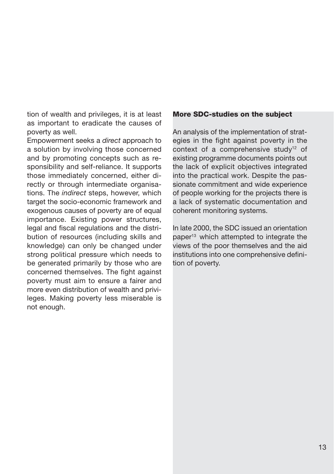tion of wealth and privileges, it is at least as important to eradicate the causes of poverty as well.

Empowerment seeks a *direct* approach to a solution by involving those concerned and by promoting concepts such as responsibility and self-reliance. It supports those immediately concerned, either directly or through intermediate organisations. The *indirect* steps, however, which target the socio-economic framework and exogenous causes of poverty are of equal importance. Existing power structures, legal and fiscal regulations and the distribution of resources (including skills and knowledge) can only be changed under strong political pressure which needs to be generated primarily by those who are concerned themselves. The fight against poverty must aim to ensure a fairer and more even distribution of wealth and privileges. Making poverty less miserable is not enough.

### **More SDC-studies on the subject**

An analysis of the implementation of strategies in the fight against poverty in the context of a comprehensive study<sup>12</sup> of existing programme documents points out the lack of explicit objectives integrated into the practical work. Despite the passionate commitment and wide experience of people working for the projects there is a lack of systematic documentation and coherent monitoring systems.

In late 2000, the SDC issued an orientation paper<sup>13</sup> which attempted to integrate the views of the poor themselves and the aid institutions into one comprehensive definition of poverty.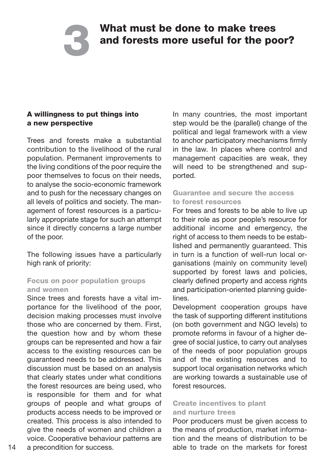# **What must be done to make trees and forests more useful for the poor?**

### **A willingness to put things into a new perspective**

**3**

Trees and forests make a substantial contribution to the livelihood of the rural population. Permanent improvements to the living conditions of the poor require the poor themselves to focus on their needs, to analyse the socio-economic framework and to push for the necessary changes on all levels of politics and society. The management of forest resources is a particularly appropriate stage for such an attempt since it directly concerns a large number of the poor.

The following issues have a particularly high rank of priority:

### **Focus on poor population groups and women**

Since trees and forests have a vital importance for the livelihood of the poor, decision making processes must involve those who are concerned by them. First, the question how and by whom these groups can be represented and how a fair access to the existing resources can be guaranteed needs to be addressed. This discussion must be based on an analysis that clearly states under what conditions the forest resources are being used, who is responsible for them and for what groups of people and what groups of products access needs to be improved or created. This process is also intended to give the needs of women and children a voice. Cooperative behaviour patterns are a precondition for success.

In many countries, the most important step would be the (parallel) change of the political and legal framework with a view to anchor participatory mechanisms firmly in the law. In places where control and management capacities are weak, they will need to be strengthened and supported.

### **Guarantee and secure the access to forest resources**

For trees and forests to be able to live up to their role as poor people's resource for additional income and emergency, the right of access to them needs to be established and permanently guaranteed. This in turn is a function of well-run local organisations (mainly on community level) supported by forest laws and policies, clearly defined property and access rights and participation-oriented planning guidelines.

Development cooperation groups have the task of supporting different institutions (on both government and NGO levels) to promote reforms in favour of a higher degree of social justice, to carry out analyses of the needs of poor population groups and of the existing resources and to support local organisation networks which are working towards a sustainable use of forest resources.

### **Create incentives to plant and nurture trees**

Poor producers must be given access to the means of production, market information and the means of distribution to be able to trade on the markets for forest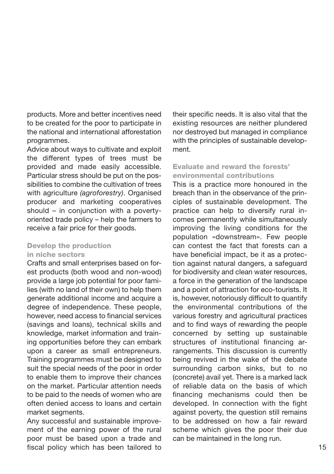products. More and better incentives need to be created for the poor to participate in the national and international afforestation programmes.

Advice about ways to cultivate and exploit the different types of trees must be provided and made easily accessible. Particular stress should be put on the possibilities to combine the cultivation of trees with agriculture *(agroforestry)*. Organised producer and marketing cooperatives should – in conjunction with a povertyoriented trade policy – help the farmers to receive a fair price for their goods.

### **Develop the production in niche sectors**

Crafts and small enterprises based on forest products (both wood and non-wood) provide a large job potential for poor families (with no land of their own) to help them generate additional income and acquire a degree of independence. These people, however, need access to financial services (savings and loans), technical skills and knowledge, market information and training opportunities before they can embark upon a career as small entrepreneurs. Training programmes must be designed to suit the special needs of the poor in order to enable them to improve their chances on the market. Particular attention needs to be paid to the needs of women who are often denied access to loans and certain market segments.

Any successful and sustainable improvement of the earning power of the rural poor must be based upon a trade and fiscal policy which has been tailored to their specific needs. It is also vital that the existing resources are neither plundered nor destroyed but managed in compliance with the principles of sustainable development.

### **Evaluate and reward the forests' environmental contributions**

This is a practice more honoured in the breach than in the observance of the principles of sustainable development. The practice can help to diversify rural incomes permanently while simultaneously improving the living conditions for the population «downstream». Few people can contest the fact that forests can a have beneficial impact, be it as a protection against natural dangers, a safeguard for biodiversity and clean water resources, a force in the generation of the landscape and a point of attraction for eco-tourists. It is, however, notoriously difficult to quantify the environmental contributions of the various forestry and agricultural practices and to find ways of rewarding the people concerned by setting up sustainable structures of institutional financing arrangements. This discussion is currently being revived in the wake of the debate surrounding carbon sinks, but to no (concrete) avail yet. There is a marked lack of reliable data on the basis of which financing mechanisms could then be developed. In connection with the fight against poverty, the question still remains to be addressed on how a fair reward scheme which gives the poor their due can be maintained in the long run.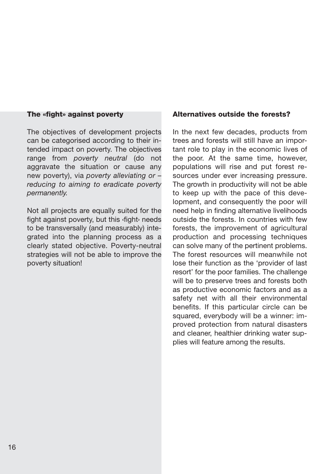### **The «fight» against poverty**

The objectives of development projects can be categorised according to their intended impact on poverty. The objectives range from *poverty neutral* (do not aggravate the situation or cause any new poverty), via *poverty alleviating or – reducing to aiming to eradicate poverty permanently.*

Not all projects are equally suited for the fight against poverty, but this ‹fight› needs to be transversally (and measurably) integrated into the planning process as a clearly stated objective. Poverty-neutral strategies will not be able to improve the poverty situation!

### **Alternatives outside the forests?**

In the next few decades, products from trees and forests will still have an important role to play in the economic lives of the poor. At the same time, however, populations will rise and put forest resources under ever increasing pressure. The growth in productivity will not be able to keep up with the pace of this development, and consequently the poor will need help in finding alternative livelihoods outside the forests. In countries with few forests, the improvement of agricultural production and processing techniques can solve many of the pertinent problems. The forest resources will meanwhile not lose their function as the 'provider of last resort' for the poor families. The challenge will be to preserve trees and forests both as productive economic factors and as a safety net with all their environmental benefits. If this particular circle can be squared, everybody will be a winner: improved protection from natural disasters and cleaner, healthier drinking water supplies will feature among the results.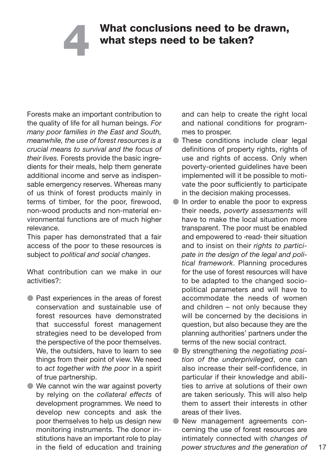# **What conclusions need to be drawn, what steps need to be taken? 4**

Forests make an important contribution to the quality of life for all human beings. *For many poor families in the East and South, meanwhile, the use of forest resources is a crucial means to survival and the focus of their lives.* Forests provide the basic ingredients for their meals, help them generate additional income and serve as indispensable emergency reserves. Whereas many of us think of forest products mainly in terms of timber, for the poor, firewood, non-wood products and non-material environmental functions are of much higher relevance.

This paper has demonstrated that a fair access of the poor to these resources is subject to *political and social changes*.

What contribution can we make in our activities?:

- **Past experiences in the areas of forest** conservation and sustainable use of forest resources have demonstrated that successful forest management strategies need to be developed from the perspective of the poor themselves. We, the outsiders, have to learn to see things from their point of view. We need to *act together with the poor* in a spirit of true partnership.
- We cannot win the war against poverty by relying on the *collateral effects* of development programmes. We need to develop new concepts and ask the poor themselves to help us design new monitoring instruments. The donor institutions have an important role to play in the field of education and training

and can help to create the right local and national conditions for programmes to prosper.

- These conditions include clear legal definitions of property rights, rights of use and rights of access. Only when poverty-oriented guidelines have been implemented will it be possible to motivate the poor sufficiently to participate in the decision making processes.
- In order to enable the poor to express their needs, *poverty assessments* will have to make the local situation more transparent. The poor must be enabled and empowered to ‹read› their situation and to insist on their *rights to participate in the design of the legal and political framework*. Planning procedures for the use of forest resources will have to be adapted to the changed sociopolitical parameters and will have to accommodate the needs of women and children – not only because they will be concerned by the decisions in question, but also because they are the planning authorities' partners under the terms of the new social contract.
- By strengthening the *negotiating position of the underprivileged*, one can also increase their self-confidence, in particular if their knowledge and abilities to arrive at solutions of their own are taken seriously. This will also help them to assert their interests in other areas of their lives.
- New management agreements concerning the use of forest resources are intimately connected with *changes of power structures and the generation of*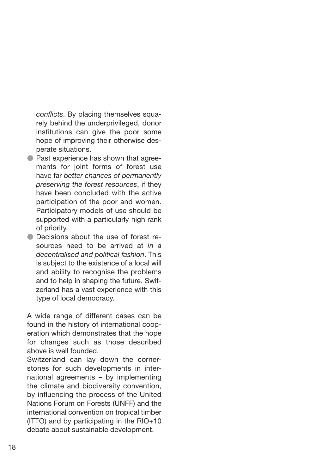*conflicts*. By placing themselves squarely behind the underprivileged, donor institutions can give the poor some hope of improving their otherwise desperate situations.

- **Past experience has shown that agree**ments for joint forms of forest use have far *better chances of permanently preserving the forest resources*, if they have been concluded with the active participation of the poor and women. Participatory models of use should be supported with a particularly high rank of priority.
- Decisions about the use of forest resources need to be arrived at *in a decentralised and political fashion*. This is subject to the existence of a local will and ability to recognise the problems and to help in shaping the future. Switzerland has a vast experience with this type of local democracy.

A wide range of different cases can be found in the history of international cooperation which demonstrates that the hope for changes such as those described above is well founded.

Switzerland can lay down the cornerstones for such developments in international agreements – by implementing the climate and biodiversity convention, by influencing the process of the United Nations Forum on Forests (UNFF) and the international convention on tropical timber (ITTO) and by participating in the RIO+10 debate about sustainable development.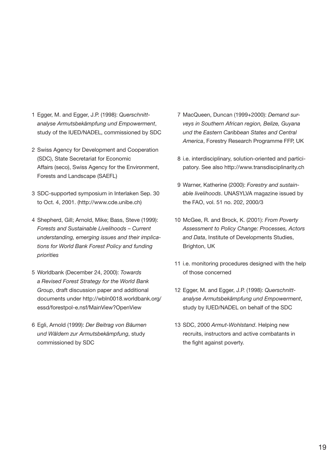- 1 Egger, M. and Egger, J.P. (1998): *Querschnittanalyse Armutsbekämpfung und Empowerment*, study of the IUED/NADEL, commissioned by SDC
- 2 Swiss Agency for Development and Cooperation (SDC), State Secretariat for Economic Affairs (seco), Swiss Agency for the Environment, Forests and Landscape (SAEFL)
- 3 SDC-supported symposium in Interlaken Sep. 30 to Oct. 4, 2001. (http://www.cde.unibe.ch)
- 4 Shepherd, Gill; Arnold, Mike; Bass, Steve (1999): *Forests and Sustainable Livelihoods – Current understanding, emerging issues and their implications for World Bank Forest Policy and funding priorities*
- 5 Worldbank (December 24, 2000): *Towards a Revised Forest Strategy for the World Bank Group*, draft discussion paper and additional documents under http://wbln0018.worldbank.org/ essd/forestpol-e.nsf/MainView?OpenView
- 6 Egli, Arnold (1999): *Der Beitrag von Bäumen und Wäldern zur Armutsbekämpfung*, study commissioned by SDC
- 7 MacQueen, Duncan (1999+2000): *Demand surveys in Southern African region, Belize, Guyana und the Eastern Caribbean States and Central America*, Forestry Research Programme FFP, UK
- 8 i.e. interdisciplinary, solution-oriented and participatory. See also http://www.transdisciplinarity.ch
- 9 Warner, Katherine (2000): *Forestry and sustainable livelihoods*. UNASYLVA magazine issued by the FAO, vol. 51 no. 202, 2000/3
- 10 McGee, R. and Brock, K. (2001): *From Poverty Assessment to Policy Change: Processes, Actors and Data*, Institute of Developments Studies, Brighton, UK
- 11 i.e. monitoring procedures designed with the help of those concerned
- 12 Egger, M. and Egger, J.P. (1998): *Querschnittanalyse Armutsbekämpfung und Empowerment*, study by IUED/NADEL on behalf of the SDC
- 13 SDC, 2000 *Armut-Wohlstand*. Helping new recruits, instructors and active combatants in the fight against poverty.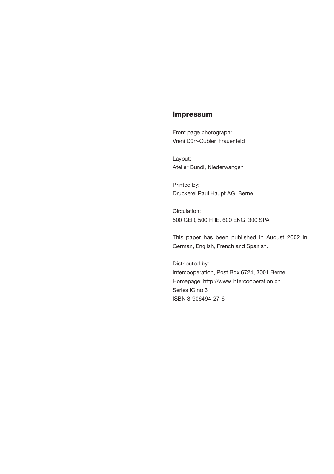### **Impressum**

Front page photograph: Vreni Dürr-Gubler, Frauenfeld

Layout: Atelier Bundi, Niederwangen

Printed by: Druckerei Paul Haupt AG, Berne

Circulation: 500 GER, 500 FRE, 600 ENG, 300 SPA

This paper has been published in August 2002 in German, English, French and Spanish.

Distributed by: Intercooperation, Post Box 6724, 3001 Berne Homepage: http://www.intercooperation.ch Series IC no 3 ISBN 3-906494-27-6